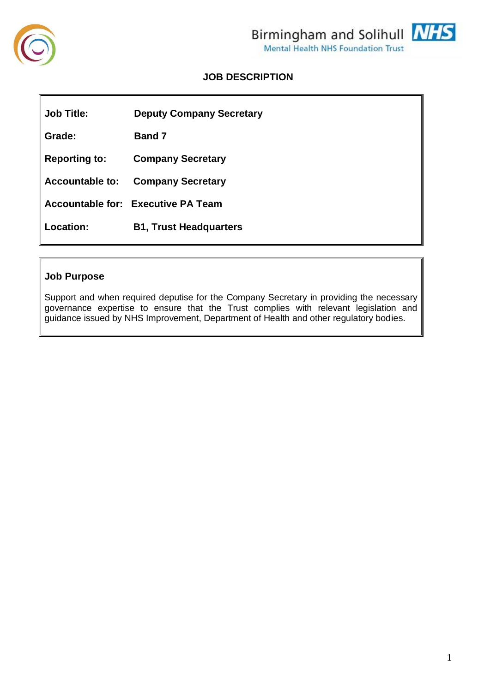

# **JOB DESCRIPTION**

**Job Title: Deputy Company Secretary Grade: Band 7 Reporting to: Company Secretary Accountable to: Company Secretary Accountable for: Executive PA Team Location: B1, Trust Headquarters**

# **Job Purpose**

Support and when required deputise for the Company Secretary in providing the necessary governance expertise to ensure that the Trust complies with relevant legislation and guidance issued by NHS Improvement, Department of Health and other regulatory bodies.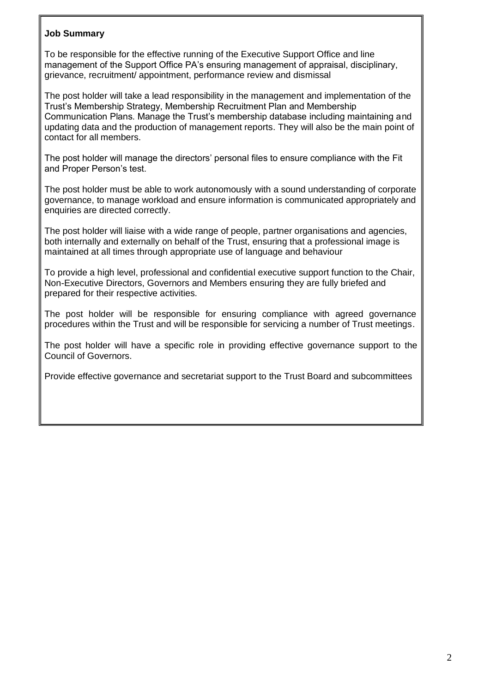## **Job Summary**

To be responsible for the effective running of the Executive Support Office and line management of the Support Office PA's ensuring management of appraisal, disciplinary, grievance, recruitment/ appointment, performance review and dismissal

The post holder will take a lead responsibility in the management and implementation of the Trust's Membership Strategy, Membership Recruitment Plan and Membership Communication Plans. Manage the Trust's membership database including maintaining and updating data and the production of management reports. They will also be the main point of contact for all members.

The post holder will manage the directors' personal files to ensure compliance with the Fit and Proper Person's test.

The post holder must be able to work autonomously with a sound understanding of corporate governance, to manage workload and ensure information is communicated appropriately and enquiries are directed correctly.

The post holder will liaise with a wide range of people, partner organisations and agencies, both internally and externally on behalf of the Trust, ensuring that a professional image is maintained at all times through appropriate use of language and behaviour

To provide a high level, professional and confidential executive support function to the Chair, Non-Executive Directors, Governors and Members ensuring they are fully briefed and prepared for their respective activities.

The post holder will be responsible for ensuring compliance with agreed governance procedures within the Trust and will be responsible for servicing a number of Trust meetings.

The post holder will have a specific role in providing effective governance support to the Council of Governors.

Provide effective governance and secretariat support to the Trust Board and subcommittees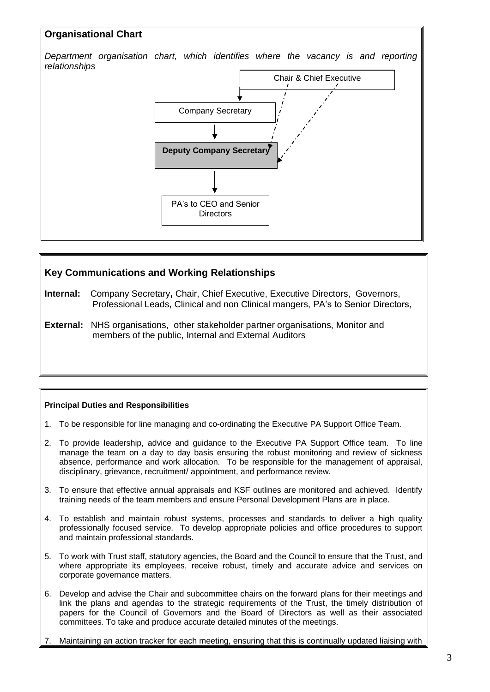# **Organisational Chart**

*Department organisation chart, which identifies where the vacancy is and reporting relationships*



# **Key Communications and Working Relationships**

- **Internal:** Company Secretary**,** Chair, Chief Executive, Executive Directors, Governors, Professional Leads, Clinical and non Clinical mangers, PA's to Senior Directors,
- **External:** NHS organisations, other stakeholder partner organisations, Monitor and members of the public, Internal and External Auditors

### **Principal Duties and Responsibilities**

- 1. To be responsible for line managing and co-ordinating the Executive PA Support Office Team.
- 2. To provide leadership, advice and guidance to the Executive PA Support Office team. To line manage the team on a day to day basis ensuring the robust monitoring and review of sickness absence, performance and work allocation. To be responsible for the management of appraisal, disciplinary, grievance, recruitment/ appointment, and performance review.
- 3. To ensure that effective annual appraisals and KSF outlines are monitored and achieved. Identify training needs of the team members and ensure Personal Development Plans are in place.
- 4. To establish and maintain robust systems, processes and standards to deliver a high quality professionally focused service. To develop appropriate policies and office procedures to support and maintain professional standards.
- 5. To work with Trust staff, statutory agencies, the Board and the Council to ensure that the Trust, and where appropriate its employees, receive robust, timely and accurate advice and services on corporate governance matters.
- 6. Develop and advise the Chair and subcommittee chairs on the forward plans for their meetings and link the plans and agendas to the strategic requirements of the Trust, the timely distribution of papers for the Council of Governors and the Board of Directors as well as their associated committees. To take and produce accurate detailed minutes of the meetings.
- Maintaining an action tracker for each meeting, ensuring that this is continually updated liaising with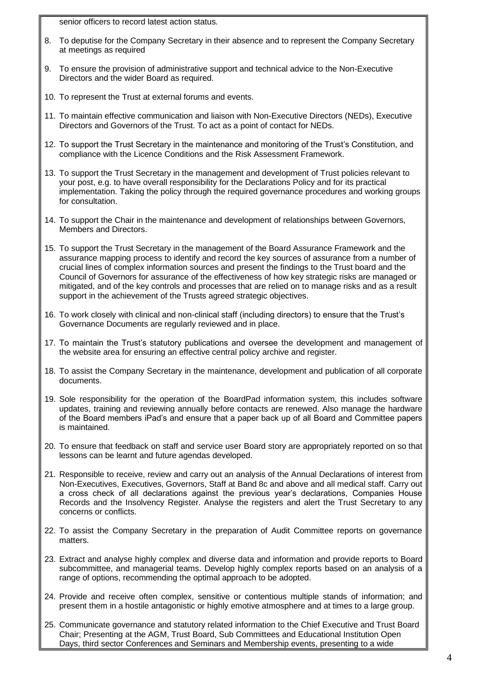senior officers to record latest action status.

- 8. To deputise for the Company Secretary in their absence and to represent the Company Secretary at meetings as required
- 9. To ensure the provision of administrative support and technical advice to the Non-Executive Directors and the wider Board as required.
- 10. To represent the Trust at external forums and events.
- 11. To maintain effective communication and liaison with Non-Executive Directors (NEDs), Executive Directors and Governors of the Trust. To act as a point of contact for NEDs.
- 12. To support the Trust Secretary in the maintenance and monitoring of the Trust's Constitution, and compliance with the Licence Conditions and the Risk Assessment Framework.
- 13. To support the Trust Secretary in the management and development of Trust policies relevant to your post, e.g. to have overall responsibility for the Declarations Policy and for its practical implementation. Taking the policy through the required governance procedures and working groups for consultation.
- 14. To support the Chair in the maintenance and development of relationships between Governors, Members and Directors.
- 15. To support the Trust Secretary in the management of the Board Assurance Framework and the assurance mapping process to identify and record the key sources of assurance from a number of crucial lines of complex information sources and present the findings to the Trust board and the Council of Governors for assurance of the effectiveness of how key strategic risks are managed or mitigated, and of the key controls and processes that are relied on to manage risks and as a result support in the achievement of the Trusts agreed strategic objectives.
- 16. To work closely with clinical and non-clinical staff (including directors) to ensure that the Trust's Governance Documents are regularly reviewed and in place.
- 17. To maintain the Trust's statutory publications and oversee the development and management of the website area for ensuring an effective central policy archive and register.
- 18. To assist the Company Secretary in the maintenance, development and publication of all corporate documents.
- 19. Sole responsibility for the operation of the BoardPad information system, this includes software updates, training and reviewing annually before contacts are renewed. Also manage the hardware of the Board members iPad's and ensure that a paper back up of all Board and Committee papers is maintained.
- 20. To ensure that feedback on staff and service user Board story are appropriately reported on so that lessons can be learnt and future agendas developed.
- 21. Responsible to receive, review and carry out an analysis of the Annual Declarations of interest from Non-Executives, Executives, Governors, Staff at Band 8c and above and all medical staff. Carry out a cross check of all declarations against the previous year's declarations, Companies House Records and the Insolvency Register. Analyse the registers and alert the Trust Secretary to any concerns or conflicts.
- 22. To assist the Company Secretary in the preparation of Audit Committee reports on governance matters.
- 23. Extract and analyse highly complex and diverse data and information and provide reports to Board subcommittee, and managerial teams. Develop highly complex reports based on an analysis of a range of options, recommending the optimal approach to be adopted.
- 24. Provide and receive often complex, sensitive or contentious multiple stands of information; and present them in a hostile antagonistic or highly emotive atmosphere and at times to a large group.
- 25. Communicate governance and statutory related information to the Chief Executive and Trust Board Chair; Presenting at the AGM, Trust Board, Sub Committees and Educational Institution Open Days, third sector Conferences and Seminars and Membership events, presenting to a wide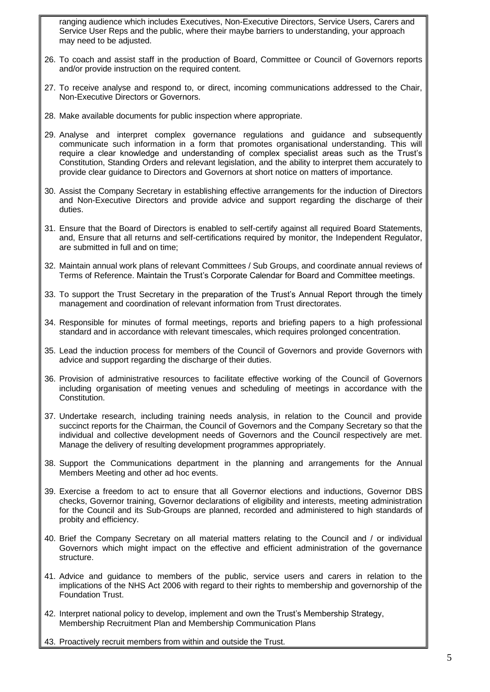ranging audience which includes Executives, Non-Executive Directors, Service Users, Carers and Service User Reps and the public, where their maybe barriers to understanding, your approach may need to be adjusted.

- 26. To coach and assist staff in the production of Board, Committee or Council of Governors reports and/or provide instruction on the required content.
- 27. To receive analyse and respond to, or direct, incoming communications addressed to the Chair, Non-Executive Directors or Governors.
- 28. Make available documents for public inspection where appropriate.
- 29. Analyse and interpret complex governance regulations and guidance and subsequently communicate such information in a form that promotes organisational understanding. This will require a clear knowledge and understanding of complex specialist areas such as the Trust's Constitution, Standing Orders and relevant legislation, and the ability to interpret them accurately to provide clear guidance to Directors and Governors at short notice on matters of importance.
- 30. Assist the Company Secretary in establishing effective arrangements for the induction of Directors and Non-Executive Directors and provide advice and support regarding the discharge of their duties.
- 31. Ensure that the Board of Directors is enabled to self-certify against all required Board Statements, and, Ensure that all returns and self-certifications required by monitor, the Independent Regulator, are submitted in full and on time;
- 32. Maintain annual work plans of relevant Committees / Sub Groups, and coordinate annual reviews of Terms of Reference. Maintain the Trust's Corporate Calendar for Board and Committee meetings.
- 33. To support the Trust Secretary in the preparation of the Trust's Annual Report through the timely management and coordination of relevant information from Trust directorates.
- 34. Responsible for minutes of formal meetings, reports and briefing papers to a high professional standard and in accordance with relevant timescales, which requires prolonged concentration.
- 35. Lead the induction process for members of the Council of Governors and provide Governors with advice and support regarding the discharge of their duties.
- 36. Provision of administrative resources to facilitate effective working of the Council of Governors including organisation of meeting venues and scheduling of meetings in accordance with the Constitution.
- 37. Undertake research, including training needs analysis, in relation to the Council and provide succinct reports for the Chairman, the Council of Governors and the Company Secretary so that the individual and collective development needs of Governors and the Council respectively are met. Manage the delivery of resulting development programmes appropriately.
- 38. Support the Communications department in the planning and arrangements for the Annual Members Meeting and other ad hoc events.
- 39. Exercise a freedom to act to ensure that all Governor elections and inductions, Governor DBS checks, Governor training, Governor declarations of eligibility and interests, meeting administration for the Council and its Sub-Groups are planned, recorded and administered to high standards of probity and efficiency.
- 40. Brief the Company Secretary on all material matters relating to the Council and / or individual Governors which might impact on the effective and efficient administration of the governance structure.
- 41. Advice and guidance to members of the public, service users and carers in relation to the implications of the NHS Act 2006 with regard to their rights to membership and governorship of the Foundation Trust.
- 42. Interpret national policy to develop, implement and own the Trust's Membership Strategy, Membership Recruitment Plan and Membership Communication Plans
- 43. Proactively recruit members from within and outside the Trust.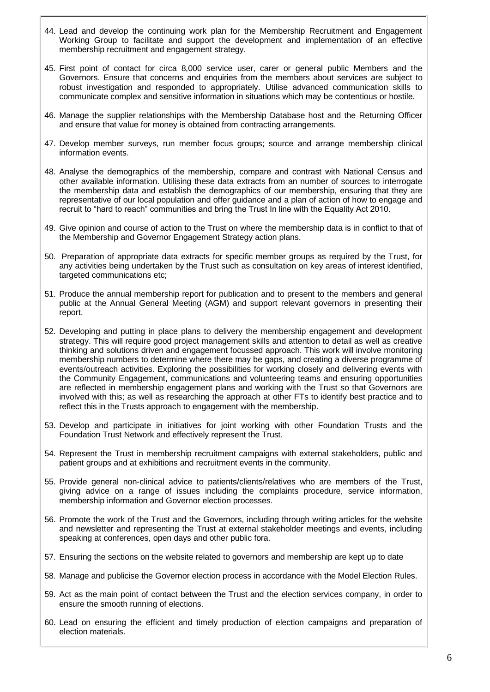- 44. Lead and develop the continuing work plan for the Membership Recruitment and Engagement Working Group to facilitate and support the development and implementation of an effective membership recruitment and engagement strategy.
- 45. First point of contact for circa 8,000 service user, carer or general public Members and the Governors. Ensure that concerns and enquiries from the members about services are subject to robust investigation and responded to appropriately. Utilise advanced communication skills to communicate complex and sensitive information in situations which may be contentious or hostile.
- 46. Manage the supplier relationships with the Membership Database host and the Returning Officer and ensure that value for money is obtained from contracting arrangements.
- 47. Develop member surveys, run member focus groups; source and arrange membership clinical information events.
- 48. Analyse the demographics of the membership, compare and contrast with National Census and other available information. Utilising these data extracts from an number of sources to interrogate the membership data and establish the demographics of our membership, ensuring that they are representative of our local population and offer guidance and a plan of action of how to engage and recruit to "hard to reach" communities and bring the Trust In line with the Equality Act 2010.
- 49. Give opinion and course of action to the Trust on where the membership data is in conflict to that of the Membership and Governor Engagement Strategy action plans.
- 50. Preparation of appropriate data extracts for specific member groups as required by the Trust, for any activities being undertaken by the Trust such as consultation on key areas of interest identified, targeted communications etc;
- 51. Produce the annual membership report for publication and to present to the members and general public at the Annual General Meeting (AGM) and support relevant governors in presenting their report.
- 52. Developing and putting in place plans to delivery the membership engagement and development strategy. This will require good project management skills and attention to detail as well as creative thinking and solutions driven and engagement focussed approach. This work will involve monitoring membership numbers to determine where there may be gaps, and creating a diverse programme of events/outreach activities. Exploring the possibilities for working closely and delivering events with the Community Engagement, communications and volunteering teams and ensuring opportunities are reflected in membership engagement plans and working with the Trust so that Governors are involved with this; as well as researching the approach at other FTs to identify best practice and to reflect this in the Trusts approach to engagement with the membership.
- 53. Develop and participate in initiatives for joint working with other Foundation Trusts and the Foundation Trust Network and effectively represent the Trust.
- 54. Represent the Trust in membership recruitment campaigns with external stakeholders, public and patient groups and at exhibitions and recruitment events in the community.
- 55. Provide general non-clinical advice to patients/clients/relatives who are members of the Trust, giving advice on a range of issues including the complaints procedure, service information, membership information and Governor election processes.
- 56. Promote the work of the Trust and the Governors, including through writing articles for the website and newsletter and representing the Trust at external stakeholder meetings and events, including speaking at conferences, open days and other public fora.
- 57. Ensuring the sections on the website related to governors and membership are kept up to date
- 58. Manage and publicise the Governor election process in accordance with the Model Election Rules.
- 59. Act as the main point of contact between the Trust and the election services company, in order to ensure the smooth running of elections.
- 60. Lead on ensuring the efficient and timely production of election campaigns and preparation of election materials.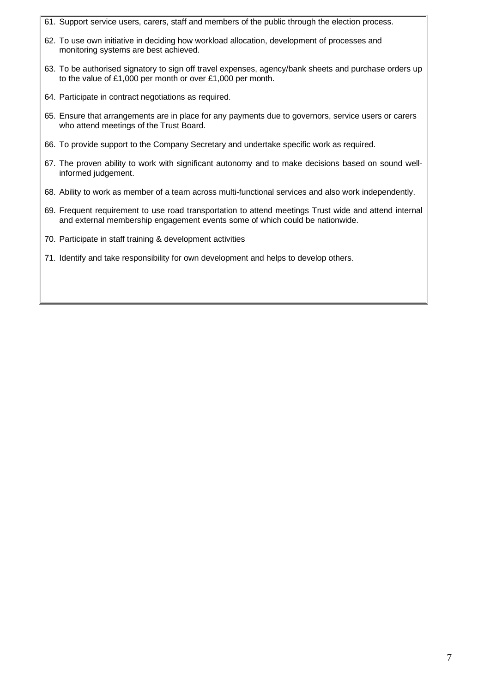- 61. Support service users, carers, staff and members of the public through the election process.
- 62. To use own initiative in deciding how workload allocation, development of processes and monitoring systems are best achieved.
- 63. To be authorised signatory to sign off travel expenses, agency/bank sheets and purchase orders up to the value of £1,000 per month or over £1,000 per month.
- 64. Participate in contract negotiations as required.
- 65. Ensure that arrangements are in place for any payments due to governors, service users or carers who attend meetings of the Trust Board.
- 66. To provide support to the Company Secretary and undertake specific work as required.
- 67. The proven ability to work with significant autonomy and to make decisions based on sound wellinformed judgement.
- 68. Ability to work as member of a team across multi-functional services and also work independently.
- 69. Frequent requirement to use road transportation to attend meetings Trust wide and attend internal and external membership engagement events some of which could be nationwide.
- 70. Participate in staff training & development activities
- 71. Identify and take responsibility for own development and helps to develop others.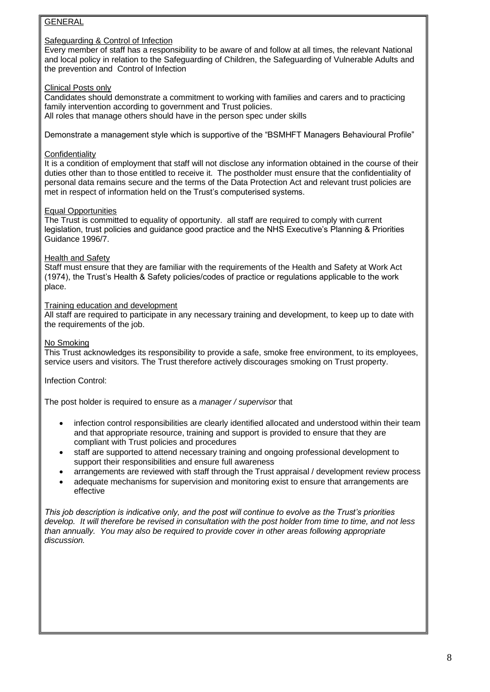### GENERAL

#### Safeguarding & Control of Infection

Every member of staff has a responsibility to be aware of and follow at all times, the relevant National and local policy in relation to the Safeguarding of Children, the Safeguarding of Vulnerable Adults and the prevention and Control of Infection

#### Clinical Posts only

Candidates should demonstrate a commitment to working with families and carers and to practicing family intervention according to government and Trust policies. All roles that manage others should have in the person spec under skills

Demonstrate a management style which is supportive of the "BSMHFT Managers Behavioural Profile"

#### **Confidentiality**

It is a condition of employment that staff will not disclose any information obtained in the course of their duties other than to those entitled to receive it. The postholder must ensure that the confidentiality of personal data remains secure and the terms of the Data Protection Act and relevant trust policies are met in respect of information held on the Trust's computerised systems.

#### Equal Opportunities

The Trust is committed to equality of opportunity. all staff are required to comply with current legislation, trust policies and guidance good practice and the NHS Executive's Planning & Priorities Guidance 1996/7.

#### Health and Safety

Staff must ensure that they are familiar with the requirements of the Health and Safety at Work Act (1974), the Trust's Health & Safety policies/codes of practice or regulations applicable to the work place.

#### Training education and development

All staff are required to participate in any necessary training and development, to keep up to date with the requirements of the job.

#### No Smoking

This Trust acknowledges its responsibility to provide a safe, smoke free environment, to its employees, service users and visitors. The Trust therefore actively discourages smoking on Trust property.

### Infection Control:

The post holder is required to ensure as a *manager / supervisor* that

- infection control responsibilities are clearly identified allocated and understood within their team and that appropriate resource, training and support is provided to ensure that they are compliant with Trust policies and procedures
- staff are supported to attend necessary training and ongoing professional development to support their responsibilities and ensure full awareness
- arrangements are reviewed with staff through the Trust appraisal / development review process
- adequate mechanisms for supervision and monitoring exist to ensure that arrangements are effective

*This job description is indicative only, and the post will continue to evolve as the Trust's priorities develop. It will therefore be revised in consultation with the post holder from time to time, and not less than annually. You may also be required to provide cover in other areas following appropriate discussion.*